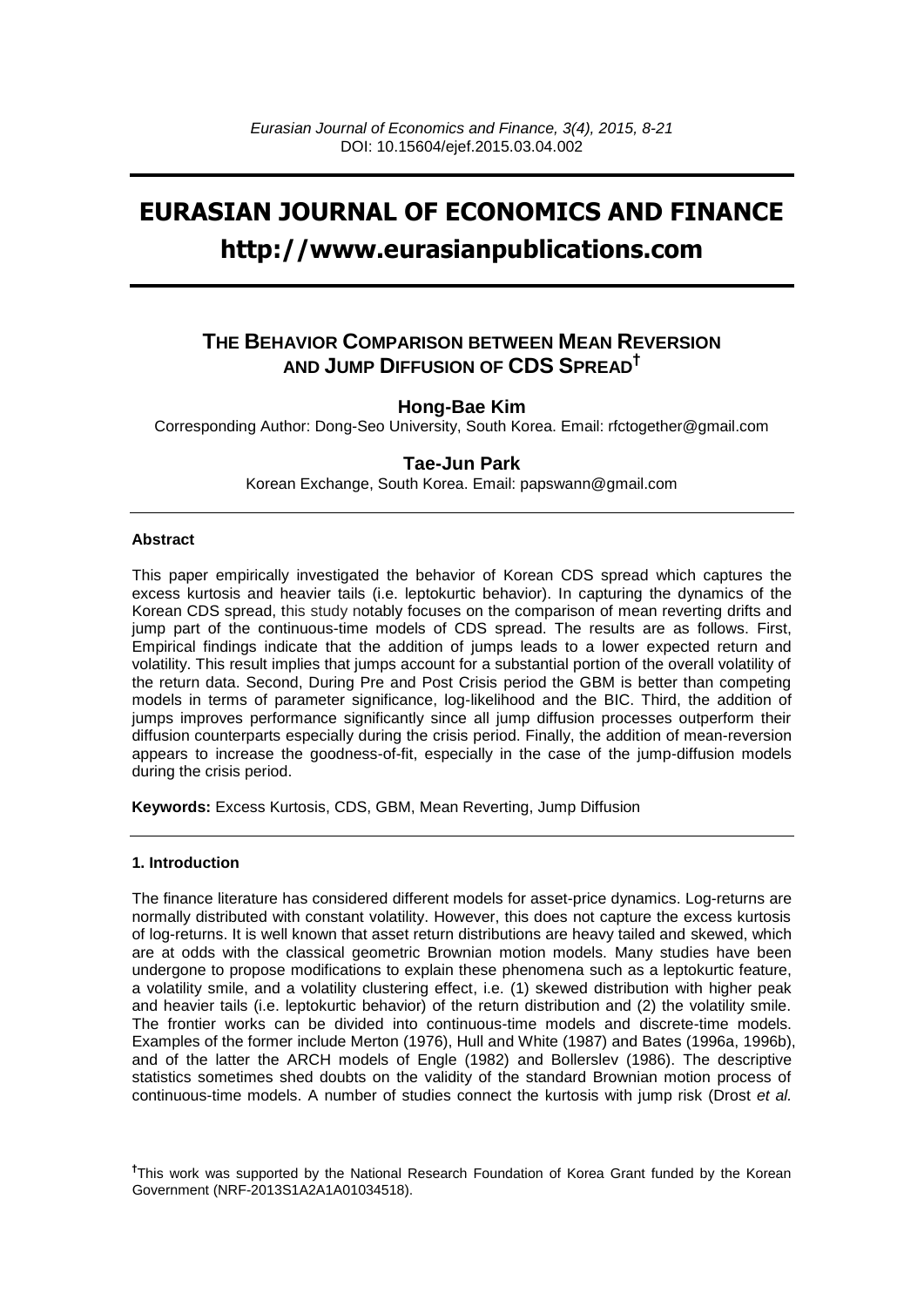# **EURASIAN JOURNAL OF ECONOMICS AND FINANCE http://www.eurasianpublications.com**

# **THE BEHAVIOR COMPARISON BETWEEN MEAN REVERSION AND JUMP DIFFUSION OF CDS SPREAD†**

## **Hong-Bae Kim**

Corresponding Author: Dong-Seo University, South Korea. Email: [rfctogether@gmail.com](mailto:rfctogether@gmail.com)

### **Tae-Jun Park**

Korean Exchange, South Korea. Email: [papswann@gmail.com](mailto:papswann@gmail.com)

#### **Abstract**

This paper empirically investigated the behavior of Korean CDS spread which captures the excess kurtosis and heavier tails (i.e. leptokurtic behavior). In capturing the dynamics of the Korean CDS spread, this study notably focuses on the comparison of mean reverting drifts and jump part of the continuous-time models of CDS spread. The results are as follows. First, Empirical findings indicate that the addition of jumps leads to a lower expected return and volatility. This result implies that jumps account for a substantial portion of the overall volatility of the return data. Second, During Pre and Post Crisis period the GBM is better than competing models in terms of parameter significance, log-likelihood and the BIC. Third, the addition of jumps improves performance significantly since all jump diffusion processes outperform their diffusion counterparts especially during the crisis period. Finally, the addition of mean-reversion appears to increase the goodness-of-fit, especially in the case of the jump-diffusion models during the crisis period.

**Keywords:** Excess Kurtosis, CDS, GBM, Mean Reverting, Jump Diffusion

#### **1. Introduction**

The finance literature has considered different models for asset-price dynamics. Log-returns are normally distributed with constant volatility. However, this does not capture the excess kurtosis of log-returns. It is well known that asset return distributions are heavy tailed and skewed, which are at odds with the classical geometric Brownian motion models. Many studies have been undergone to propose modifications to explain these phenomena such as a leptokurtic feature, a volatility smile, and a volatility clustering effect, i.e. (1) skewed distribution with higher peak and heavier tails (i.e. leptokurtic behavior) of the return distribution and (2) the volatility smile. The frontier works can be divided into continuous-time models and discrete-time models. Examples of the former include Merton (1976), Hull and White (1987) and Bates (1996a, 1996b), and of the latter the ARCH models of Engle (1982) and Bollerslev (1986). The descriptive statistics sometimes shed doubts on the validity of the standard Brownian motion process of continuous-time models. A number of studies connect the kurtosis with jump risk (Drost *et al.*

**<sup>†</sup>** This work was supported by the National Research Foundation of Korea Grant funded by the Korean Government (NRF-2013S1A2A1A01034518).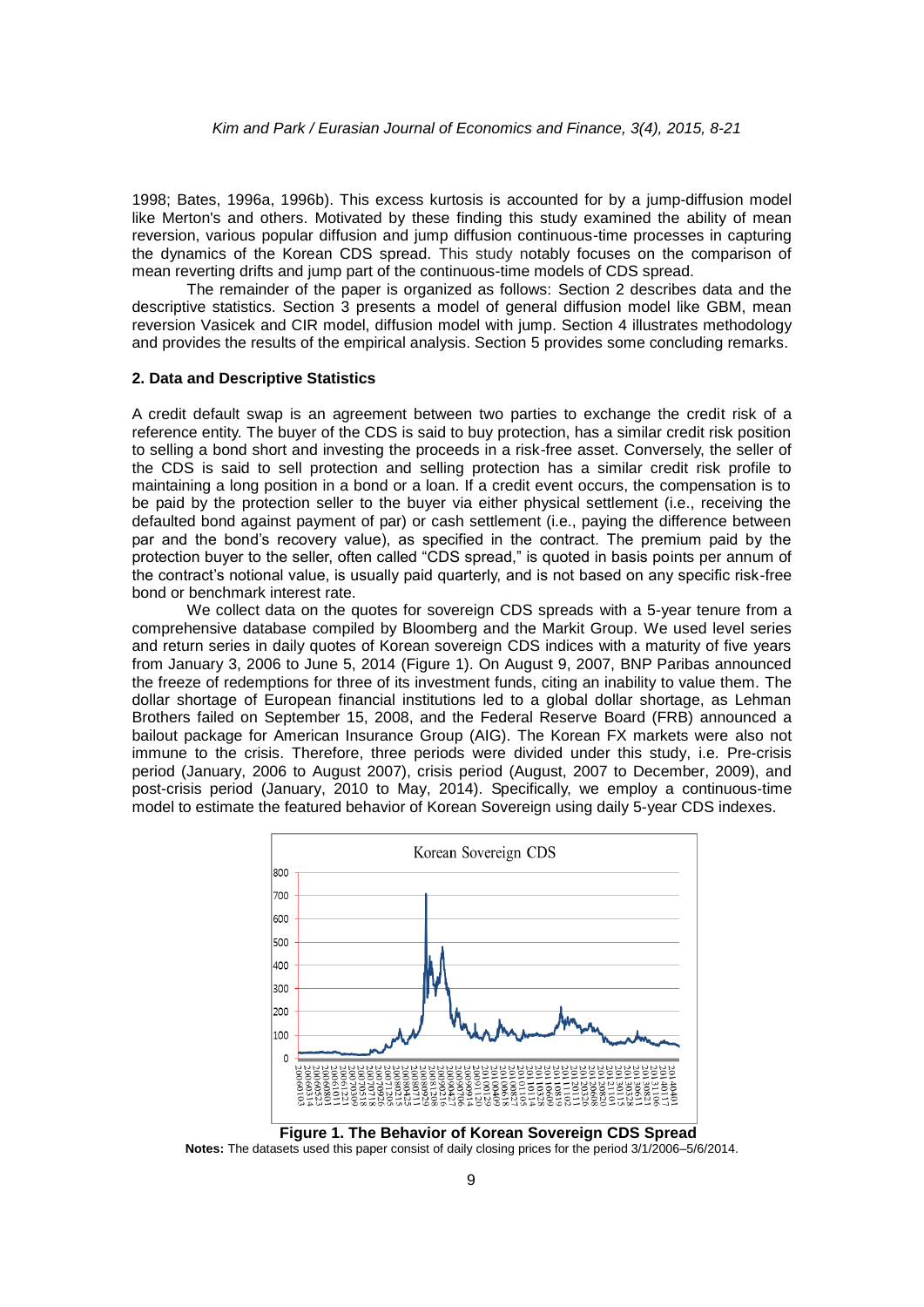1998; Bates, 1996a, 1996b). This excess kurtosis is accounted for by a jump-diffusion model like Merton's and others. Motivated by these finding this study examined the ability of mean reversion, various popular diffusion and jump diffusion continuous-time processes in capturing the dynamics of the Korean CDS spread. This study notably focuses on the comparison of mean reverting drifts and jump part of the continuous-time models of CDS spread.

The remainder of the paper is organized as follows: Section 2 describes data and the descriptive statistics. Section 3 presents a model of general diffusion model like GBM, mean reversion Vasicek and CIR model, diffusion model with jump. Section 4 illustrates methodology and provides the results of the empirical analysis. Section 5 provides some concluding remarks.

#### **2. Data and Descriptive Statistics**

A credit default swap is an agreement between two parties to exchange the credit risk of a reference entity. The buyer of the CDS is said to buy protection, has a similar credit risk position to selling a bond short and investing the proceeds in a risk-free asset. Conversely, the seller of the CDS is said to sell protection and selling protection has a similar credit risk profile to maintaining a long position in a bond or a loan. If a credit event occurs, the compensation is to be paid by the protection seller to the buyer via either physical settlement (i.e., receiving the defaulted bond against payment of par) or cash settlement (i.e., paying the difference between par and the bond's recovery value), as specified in the contract. The premium paid by the protection buyer to the seller, often called "CDS spread," is quoted in basis points per annum of the contract's notional value, is usually paid quarterly, and is not based on any specific risk-free bond or benchmark interest rate.

We collect data on the quotes for sovereign CDS spreads with a 5-year tenure from a comprehensive database compiled by Bloomberg and the Markit Group. We used level series and return series in daily quotes of Korean sovereign CDS indices with a maturity of five years from January 3, 2006 to June 5, 2014 (Figure 1). On August 9, 2007, BNP Paribas announced the freeze of redemptions for three of its investment funds, citing an inability to value them. The dollar shortage of European financial institutions led to a global dollar shortage, as Lehman Brothers failed on September 15, 2008, and the Federal Reserve Board (FRB) announced a bailout package for American Insurance Group (AIG). The Korean FX markets were also not immune to the crisis. Therefore, three periods were divided under this study, i.e. Pre-crisis period (January, 2006 to August 2007), crisis period (August, 2007 to December, 2009), and post-crisis period (January, 2010 to May, 2014). Specifically, we employ a continuous-time model to estimate the featured behavior of Korean Sovereign using daily 5-year CDS indexes.



**Notes:** The datasets used this paper consist of daily closing prices for the period 3/1/2006–5/6/2014.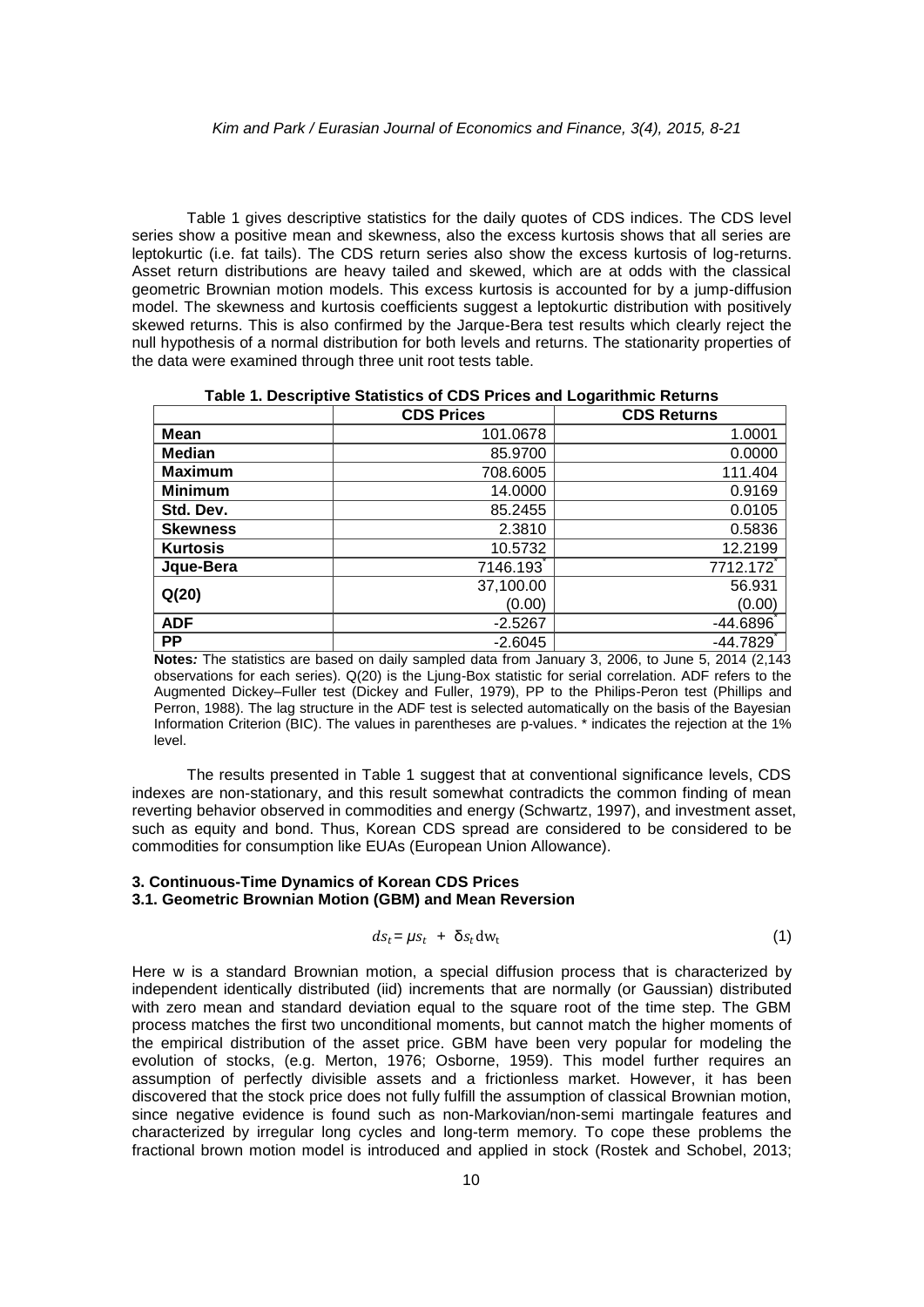Table 1 gives descriptive statistics for the daily quotes of CDS indices. The CDS level series show a positive mean and skewness, also the excess kurtosis shows that all series are leptokurtic (i.e. fat tails). The CDS return series also show the excess kurtosis of log-returns. Asset return distributions are heavy tailed and skewed, which are at odds with the classical geometric Brownian motion models. This excess kurtosis is accounted for by a jump-diffusion model. The skewness and kurtosis coefficients suggest a leptokurtic distribution with positively skewed returns. This is also confirmed by the Jarque-Bera test results which clearly reject the null hypothesis of a normal distribution for both levels and returns. The stationarity properties of the data were examined through three unit root tests table.

**Table 1. Descriptive Statistics of CDS Prices and Logarithmic Returns**

|                 | <b>CDS Prices</b> | <b>CDS Returns</b> |
|-----------------|-------------------|--------------------|
| Mean            | 101.0678          | 1.0001             |
| <b>Median</b>   | 85,9700           | 0.0000             |
| <b>Maximum</b>  | 708.6005          | 111.404            |
| <b>Minimum</b>  | 14.0000           | 0.9169             |
| Std. Dev.       | 85.2455           | 0.0105             |
| <b>Skewness</b> | 2.3810            | 0.5836             |
| <b>Kurtosis</b> | 10.5732           | 12.2199            |
| Jque-Bera       | 7146.193          | 7712.172           |
| Q(20)           | 37,100.00         | 56.931             |
|                 | (0.00)            | (0.00)             |
| <b>ADF</b>      | $-2.5267$         | $-44.6896$         |
| <b>PP</b>       | $-2.6045$         | -44.7829           |

**Notes***:* The statistics are based on daily sampled data from January 3, 2006, to June 5, 2014 (2,143 observations for each series). Q(20) is the Ljung-Box statistic for serial correlation. ADF refers to the Augmented Dickey–Fuller test (Dickey and Fuller, 1979), PP to the Philips-Peron test (Phillips and Perron, 1988). The lag structure in the ADF test is selected automatically on the basis of the Bayesian Information Criterion (BIC). The values in parentheses are p-values. \* indicates the rejection at the 1% level.

The results presented in Table 1 suggest that at conventional significance levels, CDS indexes are non-stationary, and this result somewhat contradicts the common finding of mean reverting behavior observed in commodities and energy (Schwartz, 1997), and investment asset, such as equity and bond. Thus, Korean CDS spread are considered to be considered to be commodities for consumption like EUAs (European Union Allowance).

#### **3. Continuous-Time Dynamics of Korean CDS Prices 3.1. Geometric Brownian Motion (GBM) and Mean Reversion**

$$
ds_t = \mu s_t + \delta s_t dw_t \tag{1}
$$

Here w is a standard Brownian motion, a special diffusion process that is characterized by independent identically distributed (iid) increments that are normally (or Gaussian) distributed with zero mean and standard deviation equal to the square root of the time step. The GBM process matches the first two unconditional moments, but cannot match the higher moments of the empirical distribution of the asset price. GBM have been very popular for modeling the evolution of stocks, (e.g. Merton, 1976; Osborne, 1959). This model further requires an assumption of perfectly divisible assets and a [frictionless market.](http://en.wikipedia.org/wiki/Frictionless_market) However, it has been discovered that the stock price does not fully fulfill the assumption of classical Brownian motion, since negative evidence is found such as non-Markovian/non-semi martingale features and characterized by irregular long cycles and long-term memory. To cope these problems the fractional brown motion model is introduced and applied in stock (Rostek and Schobel, 2013;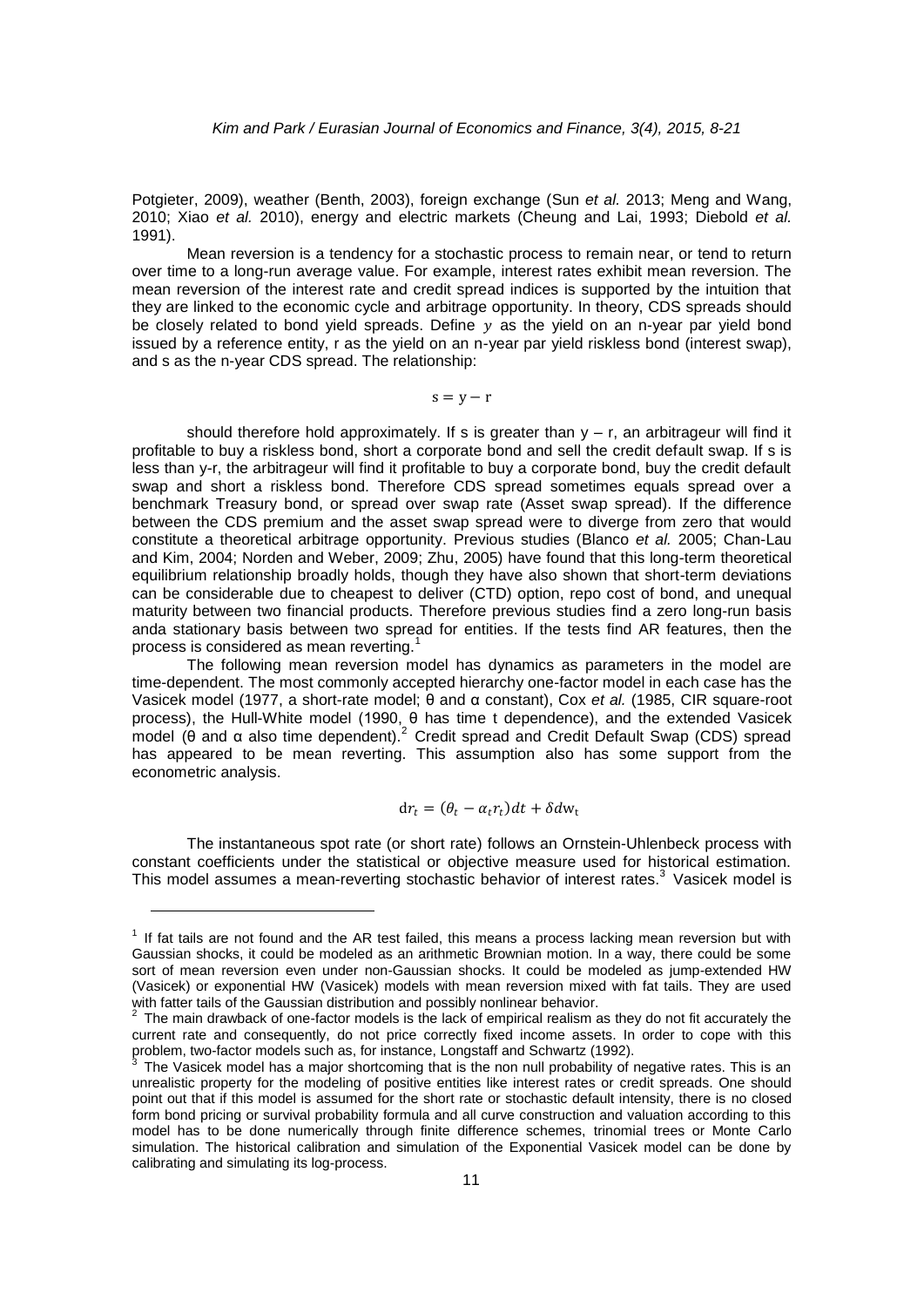Potgieter, 2009), weather (Benth, 2003), foreign exchange (Sun *et al.* 2013; Meng and Wang, 2010; Xiao *et al.* 2010), energy and electric markets (Cheung and Lai, 1993; Diebold *et al.* 1991).

Mean reversion is a tendency for a [stochastic process](http://www.riskglossary.com/articles/time_series_stochastic_process.htm) to remain near, or tend to return over time to a long-run [average](http://www.riskglossary.com/articles/mean.htm) value. For example, interest rates exhibit mean reversion. The mean reversion of the interest rate and credit spread indices is supported by the intuition that they are linked to the economic cycle and arbitrage opportunity. In theory, CDS spreads should be closely related to bond yield spreads. Define  $y$  as the yield on an n-year par yield bond issued by a reference entity, r as the yield on an n-year par yield riskless bond (interest swap), and s as the n-year CDS spread. The relationship:

 $s = y - r$ 

should therefore hold approximately. If s is greater than  $y - r$ , an arbitrageur will find it profitable to buy a riskless bond, short a corporate bond and sell the credit default swap. If s is less than y-r, the arbitrageur will find it profitable to buy a corporate bond, buy the credit default swap and short a riskless bond. Therefore CDS spread sometimes equals spread over a benchmark Treasury bond, or spread over swap rate (Asset swap spread). If the difference between the CDS premium and the asset swap spread were to diverge from zero that would constitute a theoretical arbitrage opportunity. Previous studies (Blanco *et al.* 2005; Chan-Lau and Kim, 2004; Norden and Weber, 2009; Zhu, 2005) have found that this long-term theoretical equilibrium relationship broadly holds, though they have also shown that short-term deviations can be considerable due to cheapest to deliver (CTD) option, repo cost of bond, and unequal maturity between two financial products. Therefore previous studies find a zero long-run basis anda stationary basis between two spread for entities. If the tests find AR features, then the process is considered as mean reverting.<sup>1</sup>

The following mean reversion model has dynamics as parameters in the model are time-dependent. The most commonly accepted hierarchy one-factor model in each case has the [Vasicek model](http://en.wikipedia.org/wiki/Vasicek_model) (1977, a [short-rate model;](http://en.wikipedia.org/wiki/Short-rate_model) θ and α constant), Cox *et al.* (1985, CIR square-root process), the Hull-White model (1990, θ has time t dependence), and the extended [Vasicek](http://en.wikipedia.org/wiki/Vasicek_model)  [model](http://en.wikipedia.org/wiki/Vasicek_model) (θ and α also time dependent).<sup>2</sup> Credit spread and Credit Default Swap (CDS) spread has appeared to be mean reverting. This assumption also has some support from the econometric analysis.

$$
\mathrm{d}r_t = (\theta_t - \alpha_t r_t)dt + \delta d\mathrm{w}_t
$$

The instantaneous spot rate (or short rate) follows an Ornstein-Uhlenbeck process with constant coefficients under the statistical or objective measure used for historical estimation. This model assumes a mean-reverting stochastic behavior of interest rates.<sup>3</sup> Vasicek model is

1

 $1$  If fat tails are not found and the AR test failed, this means a process lacking mean reversion but with Gaussian shocks, it could be modeled as an arithmetic Brownian motion. In a way, there could be some sort of mean reversion even under non-Gaussian shocks. It could be modeled as jump-extended HW (Vasicek) or exponential HW (Vasicek) models with mean reversion mixed with fat tails. They are used with fatter tails of the Gaussian distribution and possibly nonlinear behavior.<br><sup>2</sup> The main drawhack of ano factor models is the lack of empirical realism.

The main drawback of one-factor models is the lack of empirical realism as they do not fit accurately the current rate and consequently, do not price correctly fixed income assets. In order to cope with this problem, two-factor models such as, for instance, Longstaff and Schwartz (1992).<br>3 The Vesisek model has a major ebertesming that is the non null prehability of

The Vasicek model has a major shortcoming that is the non null probability of negative rates. This is an unrealistic property for the modeling of positive entities like interest rates or credit spreads. One should point out that if this model is assumed for the short rate or stochastic default intensity, there is no closed form bond pricing or survival probability formula and all curve construction and valuation according to this model has to be done numerically through finite difference schemes, trinomial trees or Monte Carlo simulation. The historical calibration and simulation of the Exponential Vasicek model can be done by calibrating and simulating its log-process.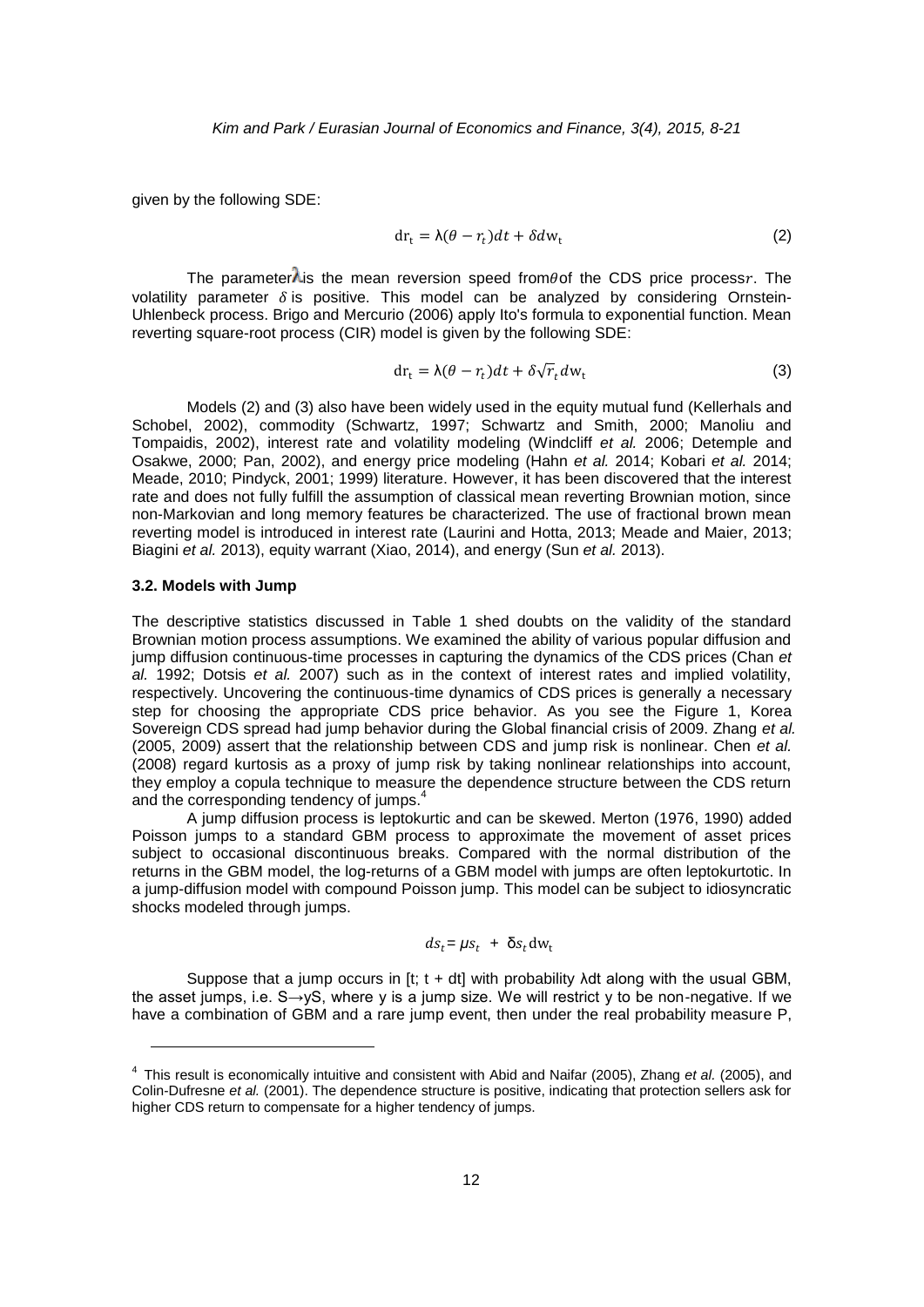given by the following SDE:

$$
dr_t = \lambda(\theta - r_t)dt + \delta dw_t
$$
 (2)

The parameter $\lambda$  is the mean reversion speed from  $\theta$  of the CDS price process r. The volatility parameter  $\delta$  is positive. This model can be analyzed by considering Ornstein-Uhlenbeck process. Brigo and Mercurio (2006) apply Ito's formula to exponential function. Mean reverting square-root process (CIR) model is given by the following SDE:

$$
dr_t = \lambda(\theta - r_t)dt + \delta\sqrt{r_t}dw_t
$$
\n(3)

Models (2) and (3) also have been widely used in the equity mutual fund (Kellerhals and Schobel, 2002), commodity (Schwartz, 1997; Schwartz and Smith, 2000; Manoliu and Tompaidis, 2002), interest rate and volatility modeling (Windcliff *et al.* 2006; Detemple and Osakwe, 2000; Pan, 2002), and energy price modeling (Hahn *et al.* 2014; Kobari *et al.* 2014; Meade, 2010; Pindyck, 2001; 1999) literature. However, it has been discovered that the interest rate and does not fully fulfill the assumption of classical mean reverting Brownian motion, since non-Markovian and long memory features be characterized. The use of fractional brown mean reverting model is introduced in interest rate (Laurini and Hotta, 2013; Meade and Maier, 2013; Biagini *et al.* 2013), equity warrant (Xiao, 2014), and energy (Sun *et al.* 2013).

#### **3.2. Models with Jump**

1

The descriptive statistics discussed in Table 1 shed doubts on the validity of the standard Brownian motion process assumptions. We examined the ability of various popular diffusion and jump diffusion continuous-time processes in capturing the dynamics of the CDS prices (Chan *et al.* 1992; Dotsis *et al.* 2007) such as in the context of interest rates and implied volatility, respectively. Uncovering the continuous-time dynamics of CDS prices is generally a necessary step for choosing the appropriate CDS price behavior. As you see the Figure 1, Korea Sovereign CDS spread had jump behavior during the Global financial crisis of 2009. Zhang *et al.* (2005, 2009) assert that the relationship between CDS and jump risk is nonlinear. Chen *et al.* (2008) regard kurtosis as a proxy of jump risk by taking nonlinear relationships into account, they employ a copula technique to measure the dependence structure between the CDS return and the corresponding tendency of jumps.<sup>4</sup>

A jump diffusion process is leptokurtic and can be skewed. Merton (1976, 1990) added Poisson jumps to a standard GBM process to approximate the movement of asset prices subject to occasional discontinuous breaks. Compared with the normal distribution of the returns in the GBM model, the log-returns of a GBM model with jumps are often leptokurtotic. In a jump-diffusion model with compound Poisson jump. This model can be subject to idiosyncratic shocks modeled through jumps.

$$
ds_t = \mu s_t + \delta s_t dw_t
$$

Suppose that a jump occurs in [t; t + dt] with probability  $\lambda$ dt along with the usual GBM, the asset jumps, i.e.  $S\rightarrow VS$ , where y is a jump size. We will restrict y to be non-negative. If we have a combination of GBM and a rare jump event, then under the real probability measure P,

<sup>4</sup> This result is economically intuitive and consistent with Abid and Naifar (2005), Zhang *et al.* (2005), and Colin-Dufresne *et al.* (2001). The dependence structure is positive, indicating that protection sellers ask for higher CDS return to compensate for a higher tendency of jumps.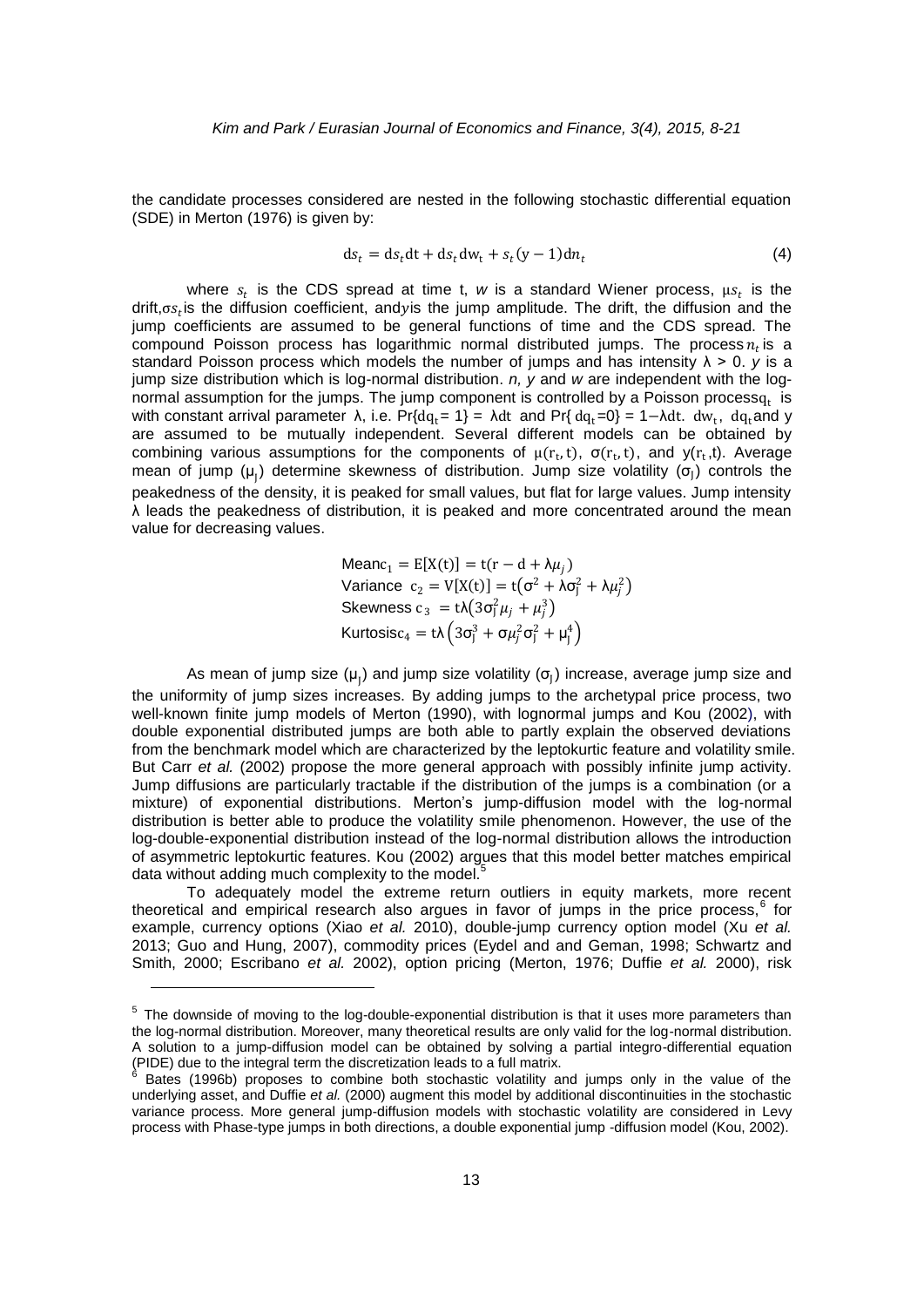the candidate processes considered are nested in the following stochastic differential equation (SDE) in Merton (1976) is given by:

$$
ds_t = ds_t dt + ds_t dw_t + s_t (y - 1) dn_t
$$
\n(4)

where  $s_t$  is the CDS spread at time t, w is a standard Wiener process,  $\mu s_t$  is the drift, $\sigma s_t$  is the diffusion coefficient, andyis the jump amplitude. The drift, the diffusion and the jump coefficients are assumed to be general functions of time and the CDS spread. The compound Poisson process has logarithmic normal distributed jumps. The process  $n_t$  is a standard Poisson process which models the number of jumps and has intensity  $\lambda > 0$ . *y* is a jump size distribution which is log-normal distribution. *n, y* and *w* are independent with the lognormal assumption for the jumps. The jump component is controlled by a Poisson process $q_t$  is with constant arrival parameter  $\lambda$ , i.e. Pr{dq<sub>t</sub>= 1} =  $\lambda$ dt and Pr{dq<sub>t</sub>=0} = 1- $\lambda$ dt. dw<sub>t</sub>, dq<sub>t</sub>and y are assumed to be mutually independent. Several different models can be obtained by combining various assumptions for the components of  $\mu(r_t,t)$ ,  $\sigma(r_t,t)$ , and  $y(r_t,t)$ . Average mean of jump ( $\mu$ <sub>J</sub>) determine skewness of distribution. Jump size volatility ( $\sigma$ <sub>J</sub>) controls the peakedness of the density, it is peaked for small values, but flat for large values. Jump intensity λ leads the peakedness of distribution, it is peaked and more concentrated around the mean value for decreasing values.

 $Meanc_1 = E[X(t)] = t(r - d + \lambda \mu_i)$ Variance  $c_2 = V[X(t)] = t(\sigma^2 + \lambda \sigma_j^2 + \lambda \mu_j^2)$ Skewness  $c_3 = t\lambda(3\sigma_j^2\mu_j + \mu_j^3)$ Kurtosis $\mathsf{c}_4 = \mathsf{t}\lambda \left(3\sigma_\mathrm{J}^3 + \sigma\mu_\mathrm{J}^2\sigma_\mathrm{J}^2 + \mu_\mathrm{J}^4\right)$ 

As mean of jump size ( $\mu$ <sub>J</sub>) and jump size volatility ( $\sigma$ <sub>J</sub>) increase, average jump size and the uniformity of jump sizes increases. By adding jumps to the archetypal price process, two well-known finite jump models of Merton (1990), with lognormal jumps and Kou (2002), with double exponential distributed jumps are both able to partly explain the observed deviations from the benchmark model which are characterized by the leptokurtic feature and volatility smile. But Carr *et al.* (2002) propose the more general approach with possibly infinite jump activity. Jump diffusions are particularly tractable if the distribution of the jumps is a combination (or a mixture) of exponential distributions. Merton's jump-diffusion model with the log-normal distribution is better able to produce the volatility smile phenomenon. However, the use of the log-double-exponential distribution instead of the log-normal distribution allows the introduction of asymmetric leptokurtic features. Kou (2002) argues that this model better matches empirical data without adding much complexity to the model.<sup>5</sup>

To adequately model the extreme return outliers in equity markets, more recent theoretical and empirical research also argues in favor of jumps in the price process,<sup>6</sup> for example, currency options (Xiao *et al.* 2010), double-jump currency option model (Xu *et al.* 2013; Guo and Hung, 2007), commodity prices (Eydel and and Geman, 1998; Schwartz and Smith, 2000; Escribano *et al.* 2002), option pricing (Merton, 1976; Duffie *et al.* 2000), risk

1

<sup>&</sup>lt;sup>5</sup> The downside of moving to the log-double-exponential distribution is that it uses more parameters than the log-normal distribution. Moreover, many theoretical results are only valid for the log-normal distribution. A solution to a jump-diffusion model can be obtained by solving a partial integro-differential equation (PIDE) due to the integral term the discretization leads to a full matrix. 6

Bates (1996b) proposes to combine both stochastic volatility and jumps only in the value of the underlying asset, and Duffie *et al.* (2000) augment this model by additional discontinuities in the stochastic variance process. More general jump-diffusion models with stochastic volatility are considered in Levy process with Phase-type jumps in both directions, a double exponential jump -diffusion model (Kou, 2002).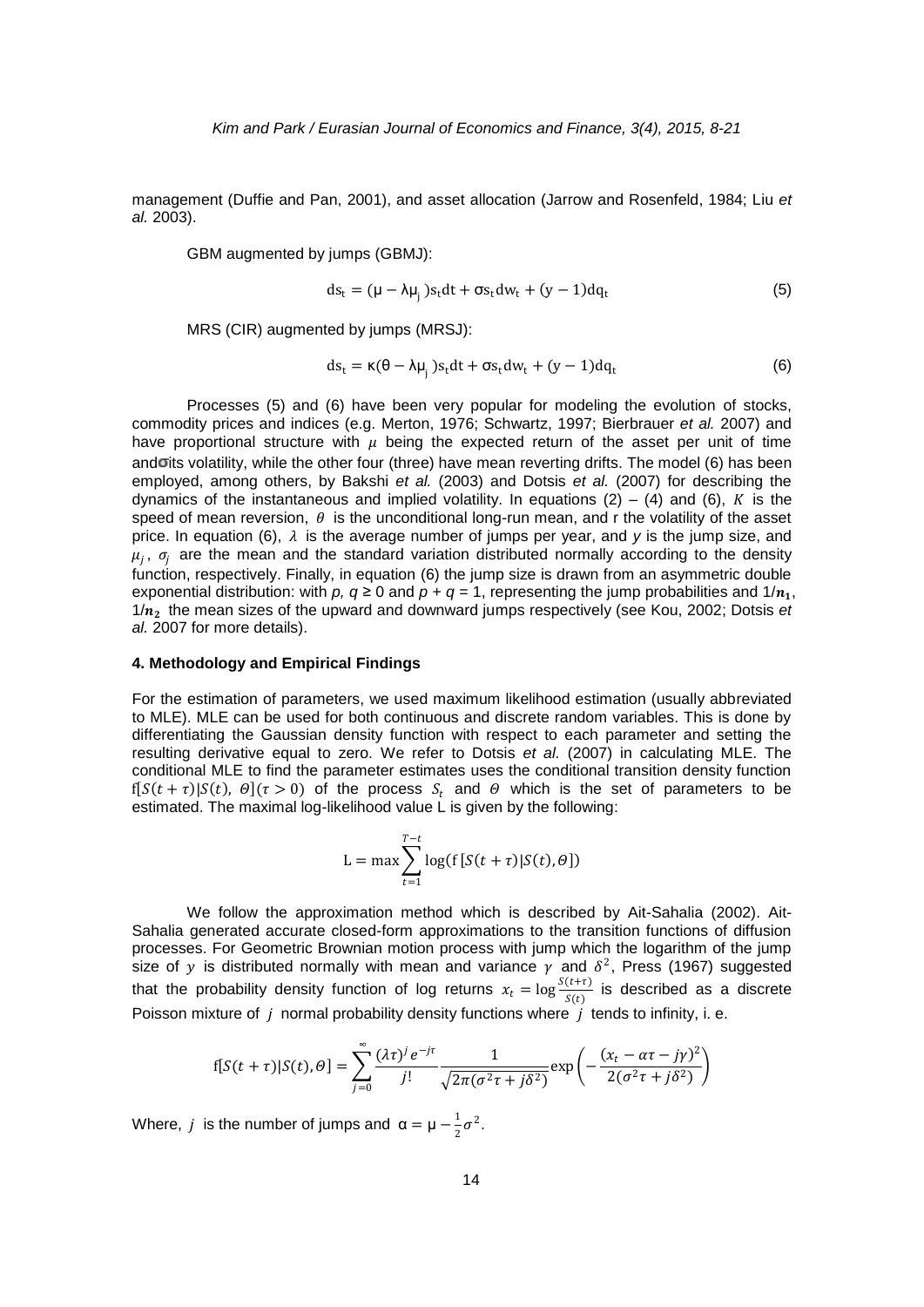management (Duffie and Pan, 2001), and asset allocation (Jarrow and Rosenfeld, 1984; Liu *et al.* 2003).

GBM augmented by jumps (GBMJ):

$$
ds_{t} = (\mu - \lambda \mu_{j}) s_{t} dt + \sigma s_{t} dw_{t} + (y - 1) dq_{t}
$$
\n(5)

MRS (CIR) augmented by jumps (MRSJ):

$$
ds_t = \kappa(\theta - \lambda \mu_j) s_t dt + \sigma s_t dw_t + (y - 1) dq_t
$$
\n(6)

Processes (5) and (6) have been very popular for modeling the evolution of stocks, commodity prices and indices (e.g. Merton, 1976; Schwartz, 1997; Bierbrauer *et al.* 2007) and have proportional structure with  $\mu$  being the expected return of the asset per unit of time and oits volatility, while the other four (three) have mean reverting drifts. The model (6) has been employed, among others, by Bakshi *et al.* (2003) and Dotsis *et al.* (2007) for describing the dynamics of the instantaneous and implied volatility. In equations (2) – (4) and (6), K is the speed of mean reversion,  $\theta$  is the unconditional long-run mean, and r the volatility of the asset price. In equation (6),  $\lambda$  is the average number of jumps per year, and *y* is the jump size, and  $\mu_j$ ,  $\sigma_j$  are the mean and the standard variation distributed normally according to the density function, respectively. Finally, in equation (6) the jump size is drawn from an asymmetric double exponential distribution: with *p*,  $q \ge 0$  and  $p + q = 1$ , representing the jump probabilities and  $1/n_1$ ,  $1/n<sub>2</sub>$  the mean sizes of the upward and downward jumps respectively (see Kou, 2002; Dotsis *et al.* 2007 for more details).

#### **4. Methodology and Empirical Findings**

For the estimation of parameters, we used maximum likelihood estimation (usually abbreviated to MLE). MLE can be used for both continuous and discrete random variables. This is done by differentiating the Gaussian density function with respect to each parameter and setting the resulting derivative equal to zero. We refer to Dotsis *et al.* (2007) in calculating MLE. The conditional MLE to find the parameter estimates uses the conditional transition density function  $f[S(t + \tau) | S(t), \theta](\tau > 0)$  of the process  $S_t$  and  $\theta$  which is the set of parameters to be estimated. The maximal log-likelihood value L is given by the following:

$$
L = \max \sum_{t=1}^{T-t} \log(f[S(t+\tau)|S(t),\theta])
$$

We follow the approximation method which is described by Ait-Sahalia (2002). Ait-Sahalia generated accurate closed-form approximations to the transition functions of diffusion processes. For Geometric Brownian motion process with jump which the logarithm of the jump size of y is distributed normally with mean and variance  $\gamma$  and  $\delta^2$ , Press (1967) suggested that the probability density function of log returns  $x_t = \log \frac{S(t+\tau)}{S(t)}$  is described as a discrete Poisson mixture of  $i$  normal probability density functions where  $i$  tends to infinity, i. e.

$$
f[S(t+\tau)|S(t),\theta] = \sum_{j=0}^{\infty} \frac{(\lambda \tau)^j e^{-j\tau}}{j!} \frac{1}{\sqrt{2\pi(\sigma^2 \tau + j\delta^2)}} \exp\left(-\frac{(x_t - \alpha \tau - j\gamma)^2}{2(\sigma^2 \tau + j\delta^2)}\right)
$$

Where, *j* is the number of jumps and  $\alpha = \mu - \frac{1}{2}$  $rac{1}{2}\sigma^2$ .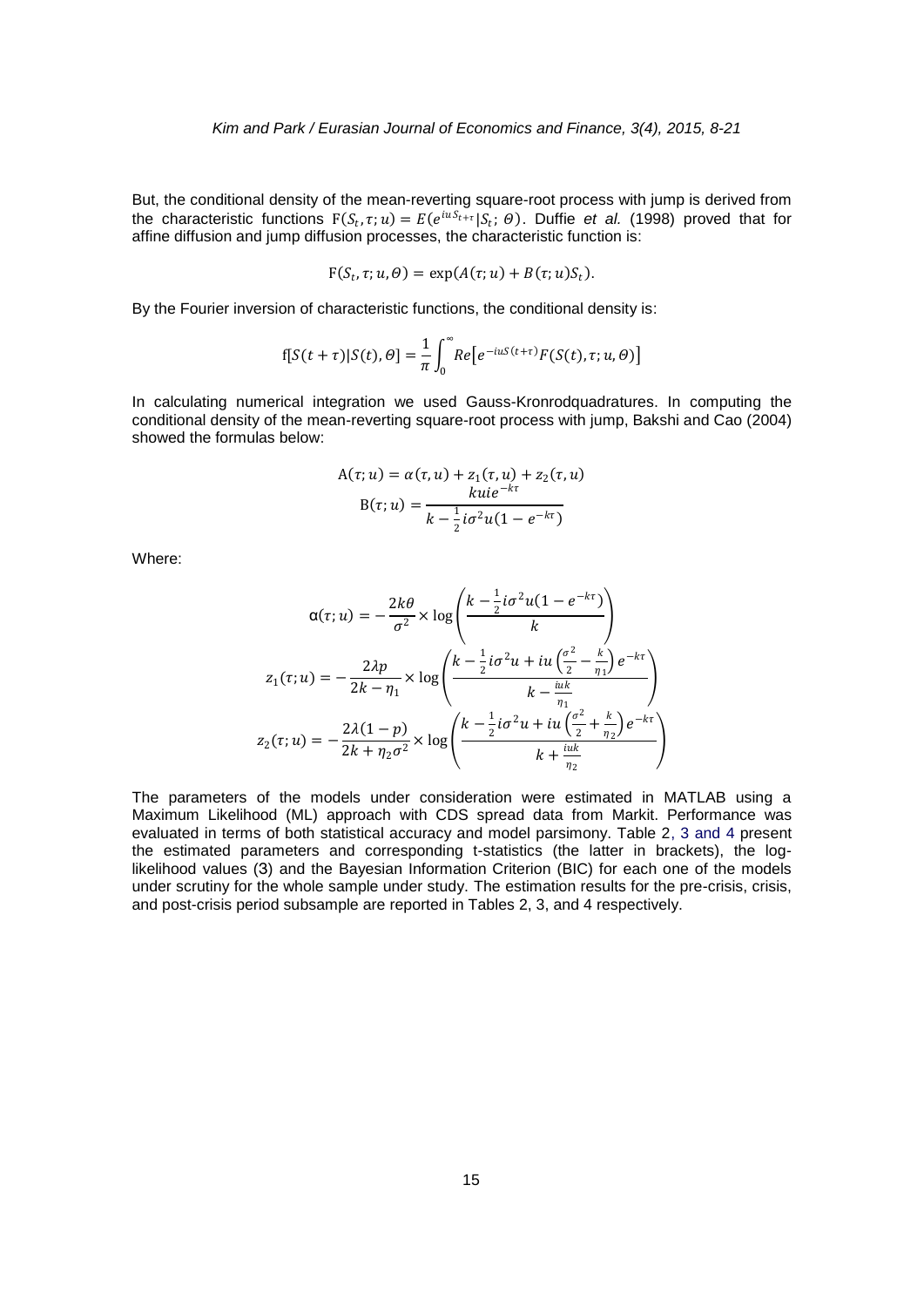But, the conditional density of the mean-reverting square-root process with jump is derived from the characteristic functions  $F(S_t, \tau; u) = E(e^{iuS_{t+\tau}} | S_t; \theta)$ . Duffie *et al.* (1998) proved that for affine diffusion and jump diffusion processes, the characteristic function is:

$$
F(S_t, \tau; u, \theta) = \exp(A(\tau; u) + B(\tau; u)S_t).
$$

By the Fourier inversion of characteristic functions, the conditional density is:

$$
f[S(t+\tau)|S(t),\theta] = \frac{1}{\pi} \int_0^\infty Re\big[e^{-i u S(t+\tau)} F(S(t),\tau;u,\theta)\big]
$$

In calculating numerical integration we used Gauss-Kronrodquadratures. In computing the conditional density of the mean-reverting square-root process with jump, Bakshi and Cao (2004) showed the formulas below:

$$
A(\tau; u) = \alpha(\tau, u) + z_1(\tau, u) + z_2(\tau, u)
$$

$$
B(\tau; u) = \frac{k u i e^{-k\tau}}{k - \frac{1}{2} i \sigma^2 u (1 - e^{-k\tau})}
$$

Where:

$$
\alpha(\tau; u) = -\frac{2k\theta}{\sigma^2} \times \log\left(\frac{k - \frac{1}{2}i\sigma^2 u(1 - e^{-k\tau})}{k}\right)
$$

$$
z_1(\tau; u) = -\frac{2\lambda p}{2k - \eta_1} \times \log\left(\frac{k - \frac{1}{2}i\sigma^2 u + iu\left(\frac{\sigma^2}{2} - \frac{k}{\eta_1}\right)e^{-k\tau}}{k - \frac{iuk}{\eta_1}}\right)
$$

$$
z_2(\tau; u) = -\frac{2\lambda(1 - p)}{2k + \eta_2\sigma^2} \times \log\left(\frac{k - \frac{1}{2}i\sigma^2 u + iu\left(\frac{\sigma^2}{2} + \frac{k}{\eta_2}\right)e^{-k\tau}}{k + \frac{iuk}{\eta_2}}\right)
$$

The parameters of the models under consideration were estimated in MATLAB using a Maximum Likelihood (ML) approach with CDS spread data from Markit. Performance was evaluated in terms of both statistical accuracy and model parsimony. Table 2, 3 and 4 present the estimated parameters and corresponding t-statistics (the latter in brackets), the loglikelihood values (З) and the Bayesian Information Criterion (BIC) for each one of the models under scrutiny for the whole sample under study. The estimation results for the pre-crisis, crisis, and post-crisis period subsample are reported in Tables 2, 3, and 4 respectively.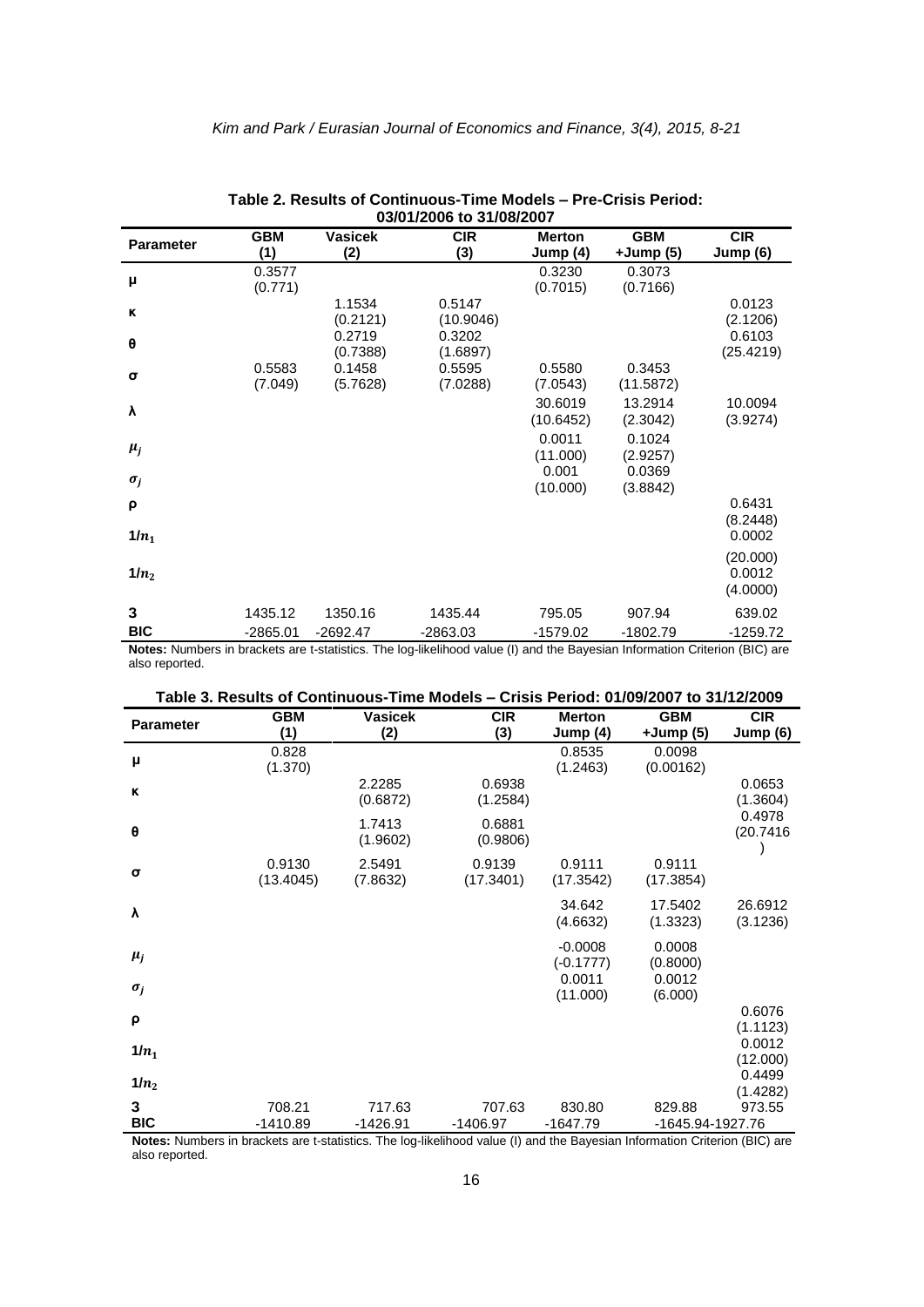| 03/01/2006 to 31/08/2007 |            |                |                                                                                                                                          |               |            |            |
|--------------------------|------------|----------------|------------------------------------------------------------------------------------------------------------------------------------------|---------------|------------|------------|
| <b>Parameter</b>         | <b>GBM</b> | <b>Vasicek</b> | <b>CIR</b>                                                                                                                               | <b>Merton</b> | <b>GBM</b> | <b>CIR</b> |
|                          | (1)        | (2)            | (3)                                                                                                                                      | Jump (4)      | +Jump (5)  | Jump (6)   |
| μ                        | 0.3577     |                |                                                                                                                                          | 0.3230        | 0.3073     |            |
|                          | (0.771)    |                |                                                                                                                                          | (0.7015)      | (0.7166)   |            |
| ĸ                        |            | 1.1534         | 0.5147                                                                                                                                   |               |            | 0.0123     |
|                          |            | (0.2121)       | (10.9046)                                                                                                                                |               |            | (2.1206)   |
| θ                        |            | 0.2719         | 0.3202                                                                                                                                   |               |            | 0.6103     |
|                          |            | (0.7388)       | (1.6897)                                                                                                                                 |               |            | (25.4219)  |
| σ                        | 0.5583     | 0.1458         | 0.5595                                                                                                                                   | 0.5580        | 0.3453     |            |
|                          | (7.049)    | (5.7628)       | (7.0288)                                                                                                                                 | (7.0543)      | (11.5872)  |            |
| λ                        |            |                |                                                                                                                                          | 30.6019       | 13.2914    | 10.0094    |
|                          |            |                |                                                                                                                                          | (10.6452)     | (2.3042)   | (3.9274)   |
|                          |            |                |                                                                                                                                          | 0.0011        | 0.1024     |            |
| $\mu_j$                  |            |                |                                                                                                                                          | (11.000)      | (2.9257)   |            |
|                          |            |                |                                                                                                                                          | 0.001         | 0.0369     |            |
| $\sigma_j$               |            |                |                                                                                                                                          | (10.000)      | (3.8842)   |            |
| ρ                        |            |                |                                                                                                                                          |               |            | 0.6431     |
|                          |            |                |                                                                                                                                          |               |            | (8.2448)   |
| $1/n_1$                  |            |                |                                                                                                                                          |               |            | 0.0002     |
|                          |            |                |                                                                                                                                          |               |            | (20.000)   |
| $1/n_2$                  |            |                |                                                                                                                                          |               |            | 0.0012     |
|                          |            |                |                                                                                                                                          |               |            | (4.0000)   |
|                          |            |                |                                                                                                                                          |               |            |            |
| 3                        | 1435.12    | 1350.16        | 1435.44                                                                                                                                  | 795.05        | 907.94     | 639.02     |
| <b>BIC</b>               | $-2865.01$ | $-2692.47$     | $-2863.03$<br>Notes: Numbers in brackets are t-statistics. The log-likelihood value (I) and the Rayesian Information Criterion (RIC) are | $-1579.02$    | $-1802.79$ | $-1259.72$ |

| Table 2. Results of Continuous-Time Models – Pre-Crisis Period: |
|-----------------------------------------------------------------|
| 03/04/2006 to 34/08/2007                                        |

**Notes:** Numbers in brackets are t-statistics. The log-likelihood value (I) and the Bayesian Information Criterion (BIC) are also reported.

|--|

|                  | Taple J. Results OF COIL |                | פוסטטעו <del>ט</del> ווו |               | CHSIS FUNCIOUS UNUSIZUUT LU JITIZIZUUS |            |
|------------------|--------------------------|----------------|--------------------------|---------------|----------------------------------------|------------|
| <b>Parameter</b> | <b>GBM</b>               | <b>Vasicek</b> | <b>CIR</b>               | <b>Merton</b> | <b>GBM</b>                             | <b>CIR</b> |
|                  | (1)                      | (2)            | (3)                      | Jump (4)      | $+Jump(5)$                             | Jump $(6)$ |
|                  | 0.828                    |                |                          | 0.8535        | 0.0098                                 |            |
| μ                | (1.370)                  |                |                          | (1.2463)      | (0.00162)                              |            |
| к                |                          | 2.2285         | 0.6938                   |               |                                        | 0.0653     |
|                  |                          | (0.6872)       | (1.2584)                 |               |                                        | (1.3604)   |
|                  |                          | 1.7413         | 0.6881                   |               |                                        | 0.4978     |
| θ                |                          |                |                          |               |                                        | (20.7416)  |
|                  |                          | (1.9602)       | (0.9806)                 |               |                                        |            |
|                  | 0.9130                   | 2.5491         | 0.9139                   | 0.9111        | 0.9111                                 |            |
| σ                | (13.4045)                | (7.8632)       | (17.3401)                | (17.3542)     | (17.3854)                              |            |
|                  |                          |                |                          |               |                                        |            |
| λ                |                          |                |                          | 34.642        | 17.5402                                | 26.6912    |
|                  |                          |                |                          | (4.6632)      | (1.3323)                               | (3.1236)   |
|                  |                          |                |                          | $-0.0008$     | 0.0008                                 |            |
| $\mu_i$          |                          |                |                          | $(-0.1777)$   | (0.8000)                               |            |
|                  |                          |                |                          | 0.0011        | 0.0012                                 |            |
| $\sigma_j$       |                          |                |                          | (11.000)      | (6.000)                                |            |
|                  |                          |                |                          |               |                                        | 0.6076     |
| ρ                |                          |                |                          |               |                                        | (1.1123)   |
|                  |                          |                |                          |               |                                        | 0.0012     |
| $1/n_1$          |                          |                |                          |               |                                        | (12.000)   |
|                  |                          |                |                          |               |                                        | 0.4499     |
| $1/n_2$          |                          |                |                          |               |                                        | (1.4282)   |
| 3                | 708.21                   | 717.63         | 707.63                   | 830.80        | 829.88                                 | 973.55     |
| <b>BIC</b>       | $-1410.89$               | $-1426.91$     | -1406.97                 | $-1647.79$    | -1645.94-1927.76                       |            |

**Notes:** Numbers in brackets are t-statistics. The log-likelihood value (I) and the Bayesian Information Criterion (BIC) are also reported.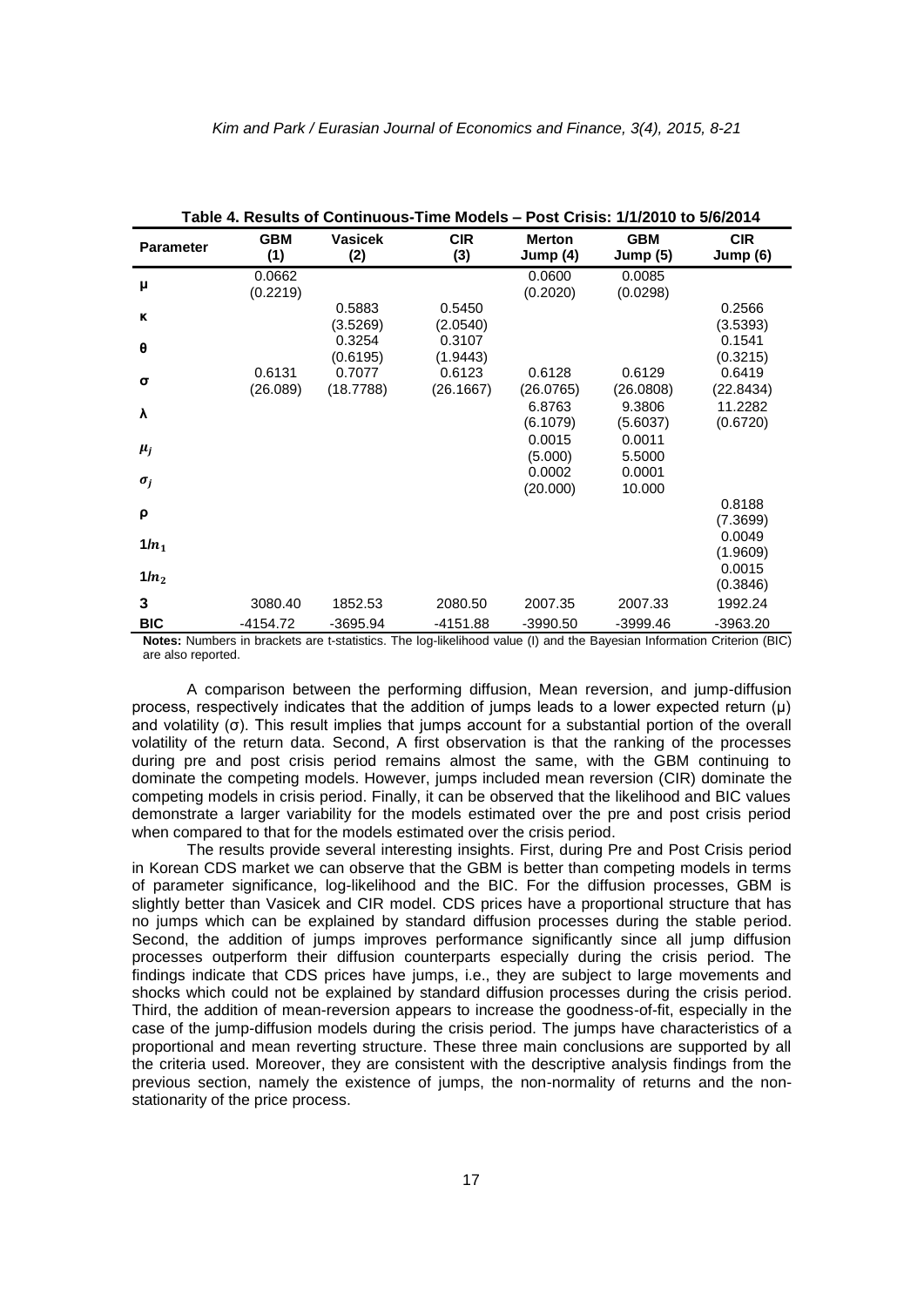| Table 4. Results of Continuous-Time Models – Post Crisis: 1/1/2010 to 5/6/2014                                                               |                        |
|----------------------------------------------------------------------------------------------------------------------------------------------|------------------------|
| <b>CIR</b><br><b>GBM</b><br><b>Vasicek</b><br><b>GBM</b><br><b>Merton</b><br><b>Parameter</b><br>(1)<br>(3)<br>(2)<br>Jump (4)<br>Jump $(5)$ | <b>CIR</b><br>Jump (6) |
| 0.0662<br>0.0600<br>0.0085<br>μ<br>(0.2219)<br>(0.2020)<br>(0.0298)                                                                          |                        |
| 0.5450<br>0.5883<br>ĸ<br>(3.5269)<br>(2.0540)                                                                                                | 0.2566<br>(3.5393)     |
| 0.3254<br>0.3107<br>$\theta$<br>(0.6195)<br>(1.9443)                                                                                         | 0.1541<br>(0.3215)     |
| 0.6131<br>0.6123<br>0.6129<br>0.7077<br>0.6128<br>σ<br>(26.089)<br>(18.7788)<br>(26.1667)<br>(26.0765)<br>(26.0808)                          | 0.6419<br>(22.8434)    |
| 6.8763<br>9.3806<br>λ<br>(6.1079)<br>(5.6037)                                                                                                | 11.2282<br>(0.6720)    |
| 0.0015<br>0.0011<br>$\mu_j$<br>(5.000)<br>5.5000                                                                                             |                        |
| 0.0002<br>0.0001<br>$\sigma_i$<br>(20.000)<br>10.000                                                                                         |                        |
| ρ                                                                                                                                            | 0.8188<br>(7.3699)     |
| $1/n_1$                                                                                                                                      | 0.0049<br>(1.9609)     |
| $1/n_2$                                                                                                                                      | 0.0015<br>(0.3846)     |
| 3<br>3080.40<br>1852.53<br>2080.50<br>2007.35<br>2007.33                                                                                     | 1992.24                |
| <b>BIC</b><br>$-4154.72$<br>$-3695.94$<br>-4151.88<br>$-3990.50$<br>$-3999.46$                                                               | $-3963.20$             |

**Notes:** Numbers in brackets are t-statistics. The log-likelihood value (I) and the Bayesian Information Criterion (BIC) are also reported.

A comparison between the performing diffusion, Mean reversion, and jump-diffusion process, respectively indicates that the addition of jumps leads to a lower expected return (μ) and volatility (σ). This result implies that jumps account for a substantial portion of the overall volatility of the return data. Second, A first observation is that the ranking of the processes during pre and post crisis period remains almost the same, with the GBM continuing to dominate the competing models. However, jumps included mean reversion (CIR) dominate the competing models in crisis period. Finally, it can be observed that the likelihood and BIC values demonstrate a larger variability for the models estimated over the pre and post crisis period when compared to that for the models estimated over the crisis period.

The results provide several interesting insights. First, during Pre and Post Crisis period in Korean CDS market we can observe that the GBM is better than competing models in terms of parameter significance, log-likelihood and the BIC. For the diffusion processes, GBM is slightly better than Vasicek and CIR model. CDS prices have a proportional structure that has no jumps which can be explained by standard diffusion processes during the stable period. Second, the addition of jumps improves performance significantly since all jump diffusion processes outperform their diffusion counterparts especially during the crisis period. The findings indicate that CDS prices have jumps, i.e., they are subject to large movements and shocks which could not be explained by standard diffusion processes during the crisis period. Third, the addition of mean-reversion appears to increase the goodness-of-fit, especially in the case of the jump-diffusion models during the crisis period. The jumps have characteristics of a proportional and mean reverting structure. These three main conclusions are supported by all the criteria used. Moreover, they are consistent with the descriptive analysis findings from the previous section, namely the existence of jumps, the non-normality of returns and the nonstationarity of the price process.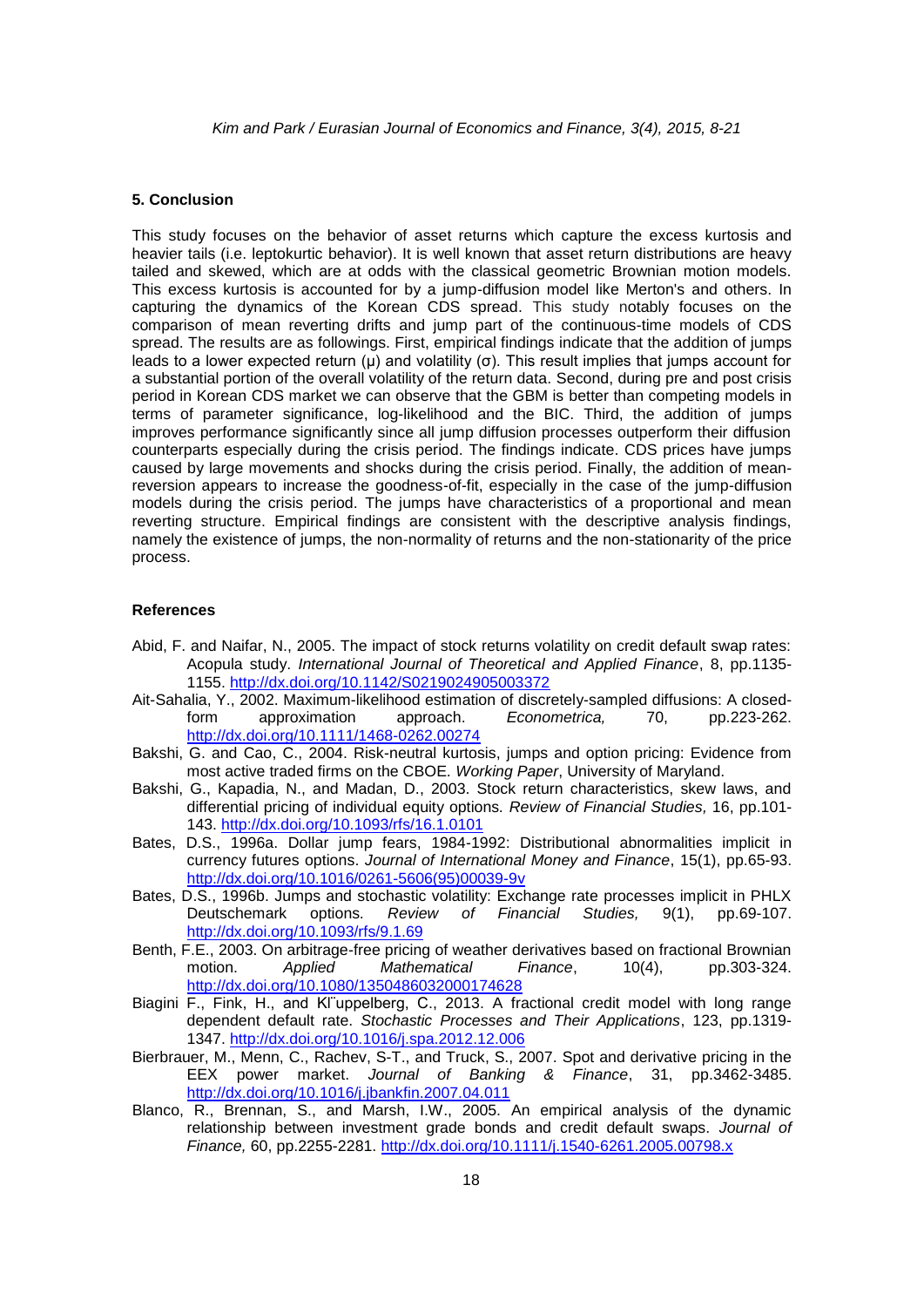#### **5. Conclusion**

This study focuses on the behavior of asset returns which capture the excess kurtosis and heavier tails (i.e. leptokurtic behavior). It is well known that asset return distributions are heavy tailed and skewed, which are at odds with the classical geometric Brownian motion models. This excess kurtosis is accounted for by a jump-diffusion model like Merton's and others. In capturing the dynamics of the Korean CDS spread. This study notably focuses on the comparison of mean reverting drifts and jump part of the continuous-time models of CDS spread. The results are as followings. First, empirical findings indicate that the addition of jumps leads to a lower expected return (μ) and volatility (σ). This result implies that jumps account for a substantial portion of the overall volatility of the return data. Second, during pre and post crisis period in Korean CDS market we can observe that the GBM is better than competing models in terms of parameter significance, log-likelihood and the BIC. Third, the addition of jumps improves performance significantly since all jump diffusion processes outperform their diffusion counterparts especially during the crisis period. The findings indicate. CDS prices have jumps caused by large movements and shocks during the crisis period. Finally, the addition of meanreversion appears to increase the goodness-of-fit, especially in the case of the jump-diffusion models during the crisis period. The jumps have characteristics of a proportional and mean reverting structure. Empirical findings are consistent with the descriptive analysis findings, namely the existence of jumps, the non-normality of returns and the non-stationarity of the price process.

#### **References**

- Abid, F. and Naifar, N., 2005. The impact of stock returns volatility on credit default swap rates: Acopula study. *International Journal of Theoretical and Applied Finance*, 8, pp.1135- 1155. <http://dx.doi.org/10.1142/S0219024905003372>
- Ait-Sahalia, Y., 2002. Maximum-likelihood estimation of discretely-sampled diffusions: A closedform approximation approach. *Econometrica,* 70, pp.223-262. <http://dx.doi.org/10.1111/1468-0262.00274>
- Bakshi, G. and Cao, C., 2004. Risk-neutral kurtosis, jumps and option pricing: Evidence from most active traded firms on the CBOE*. Working Paper*, University of Maryland.
- Bakshi, G., Kapadia, N., and Madan, D., 2003. Stock return characteristics, skew laws, and differential pricing of individual equity options*. Review of Financial Studies,* 16, pp.101- 143. <http://dx.doi.org/10.1093/rfs/16.1.0101>
- Bates, D.S., 1996a. Dollar jump fears, 1984-1992: Distributional abnormalities implicit in currency futures options. *Journal of International Money and Finance*, 15(1), pp.65-93. [http://dx.doi.org/10.1016/0261-5606\(95\)00039-9v](http://dx.doi.org/10.1016/0261-5606(95)00039-9v)
- Bates, D.S., 1996b. Jumps and stochastic volatility: Exchange rate processes implicit in PHLX Deutschemark options*. Review of Financial Studies,* 9(1), pp.69-107. <http://dx.doi.org/10.1093/rfs/9.1.69>
- Benth, F.E., 2003. On arbitrage-free pricing of weather derivatives based on fractional Brownian motion. *Applied Mathematical Finance*, 10(4), pp.303-324. <http://dx.doi.org/10.1080/1350486032000174628>
- Biagini F., Fink, H., and Kl¨uppelberg, C., 2013. A fractional credit model with long range dependent default rate. *Stochastic Processes and Their Applications*, 123, pp.1319- 1347. <http://dx.doi.org/10.1016/j.spa.2012.12.006>
- Bierbrauer, M., Menn, C., Rachev, S-T., and Truck, S., 2007. Spot and derivative pricing in the EEX power market. *Journal of Banking & Finance*, 31, pp.3462-3485. <http://dx.doi.org/10.1016/j.jbankfin.2007.04.011>
- Blanco, R., Brennan, S., and Marsh, I.W., 2005. An empirical analysis of the dynamic relationship between investment grade bonds and credit default swaps. *Journal of Finance,* 60, pp.2255-2281. <http://dx.doi.org/10.1111/j.1540-6261.2005.00798.x>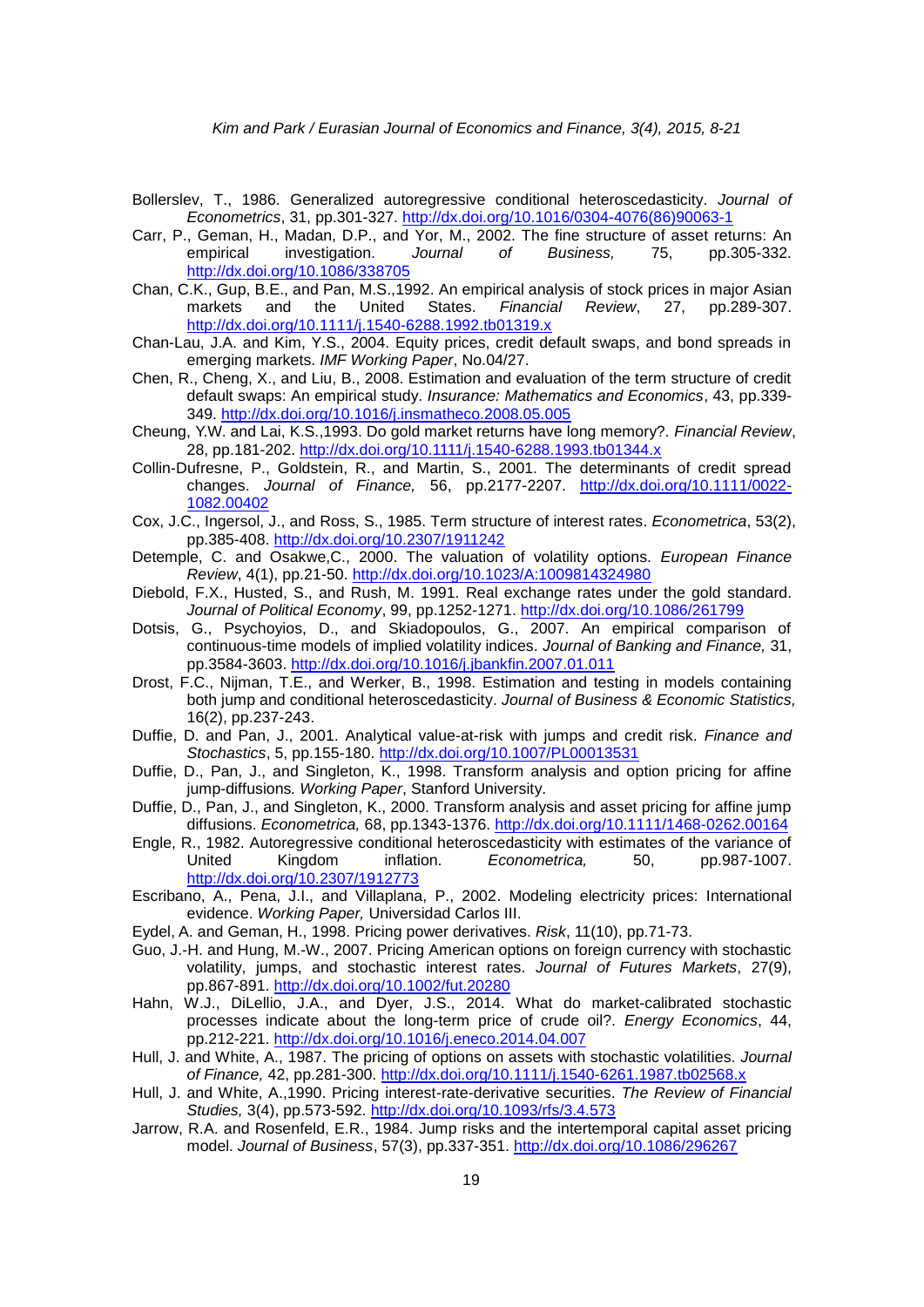- Bollerslev, T., 1986. Generalized autoregressive conditional heteroscedasticity. *Journal of Econometrics*, 31, pp.301-327. [http://dx.doi.org/10.1016/0304-4076\(86\)90063-1](http://dx.doi.org/10.1016/0304-4076(86)90063-1)
- Carr, P., Geman, H., Madan, D.P., and Yor, M., 2002. The fine structure of asset returns: An empirical investigation. *Journal of Business,* 75, pp.305-332. <http://dx.doi.org/10.1086/338705>
- Chan, C.K., Gup, B.E., and Pan, M.S.,1992. An empirical analysis of stock prices in major Asian markets and the United States. *Financial Review*, 27, pp.289-307. <http://dx.doi.org/10.1111/j.1540-6288.1992.tb01319.x>
- Chan-Lau, J.A. and Kim, Y.S., 2004. Equity prices, credit default swaps, and bond spreads in emerging markets. *IMF Working Paper*, No.04/27.
- Chen, R., Cheng, X., and Liu, B., 2008. Estimation and evaluation of the term structure of credit default swaps: An empirical study. *Insurance: Mathematics and Economics*, 43, pp.339- 349. <http://dx.doi.org/10.1016/j.insmatheco.2008.05.005>
- Cheung, Y.W. and Lai, K.S.,1993. Do gold market returns have long memory?. *[Financial Review](http://scholar.google.com/scholar?q=Do%20Gold%20Market%20Returns%20Have%20Long%20Memory%3F%20Financial%20Review)*, 28, pp.181-202. <http://dx.doi.org/10.1111/j.1540-6288.1993.tb01344.x>
- Collin-Dufresne, P., Goldstein, R., and Martin, S., 2001. The determinants of credit spread changes. *Journal of Finance,* 56, pp.2177-2207. [http://dx.doi.org/10.1111/0022-](http://dx.doi.org/10.1111/0022-1082.00402) [1082.00402](http://dx.doi.org/10.1111/0022-1082.00402)
- Cox, J.C., Ingersol, J., and Ross, S., 1985. Term structure of interest rates. *Econometrica*, 53(2), pp.385-408. <http://dx.doi.org/10.2307/1911242>
- Detemple, C. and Osakwe,C., 2000. The valuation of volatility options. *European Finance Review*, 4(1), pp.21-50. <http://dx.doi.org/10.1023/A:1009814324980>
- Diebold, F.X., Husted, S., and Rush, M. 1991. Real exchange rates under the gold standard. *Journal of Political Economy*, 99, pp.1252-1271. <http://dx.doi.org/10.1086/261799>
- Dotsis, G., Psychoyios, D., and Skiadopoulos, G., 2007. An empirical comparison of continuous-time models of implied volatility indices. *Journal of Banking and Finance,* 31, pp.3584-3603. <http://dx.doi.org/10.1016/j.jbankfin.2007.01.011>
- Drost, F.C., Nijman, T.E., and Werker, B., 1998. [Estimation and testing in models containing](https://ideas.repec.org/a/bes/jnlbes/v16y1998i2p237-43.html)  [both jump and conditional heteroscedasticity.](https://ideas.repec.org/a/bes/jnlbes/v16y1998i2p237-43.html) *[Journal of Business & Economic Statistics,](https://ideas.repec.org/s/bes/jnlbes.html)* 16(2), pp.237-243.
- Duffie, D. and Pan, J., 2001. Analytical value-at-risk with jumps and credit risk. *Finance and Stochastics*, 5, pp.155-180. <http://dx.doi.org/10.1007/PL00013531>
- Duffie, D., Pan, J., and Singleton, K., 1998. Transform analysis and option pricing for affine jump-diffusions*. Working Paper*, Stanford University.
- Duffie, D., Pan, J., and Singleton, K., 2000. Transform analysis and asset pricing for affine jump diffusions. *Econometrica,* 68, pp.1343-1376. <http://dx.doi.org/10.1111/1468-0262.00164>
- Engle, R., 1982. Autoregressive conditional heteroscedasticity with estimates of the variance of United Kingdom inflation. *Econometrica,* 50, pp.987-1007. <http://dx.doi.org/10.2307/1912773>
- Escribano, A., Pena, J.I., and Villaplana, P., 2002. Modeling electricity prices: International evidence. *Working Paper,* Universidad Carlos III.
- Eydel, A. and Geman, H., 1998. Pricing power derivatives. *Risk*, 11(10), pp.71-73.
- Guo, J.-H. and Hung, M.-W., 2007. Pricing American options on foreign currency with stochastic volatility, jumps, and stochastic interest rates. *Journal of Futures Markets*, 27(9), pp.867-891. <http://dx.doi.org/10.1002/fut.20280>
- Hahn, W.J., DiLellio, J.A., and Dyer, J.S., 2014. What do market-calibrated stochastic processes indicate about the long-term price of crude oil?. *Energy Economics*, 44, pp.212-221. <http://dx.doi.org/10.1016/j.eneco.2014.04.007>
- Hull, J. and White, A., 1987. The pricing of options on assets with stochastic volatilities. *Journal of Finance,* 42, pp.281-300. <http://dx.doi.org/10.1111/j.1540-6261.1987.tb02568.x>
- Hull, J. and White, A.,1990. Pricing interest-rate-derivative securities. *The Review of Financial Studies,* 3(4), pp.573-592. <http://dx.doi.org/10.1093/rfs/3.4.573>
- Jarrow, R.A. and Rosenfeld, E.R., 1984. Jump risks and the intertemporal capital asset pricing model. *Journal of Business*, 57(3), pp.337-351. <http://dx.doi.org/10.1086/296267>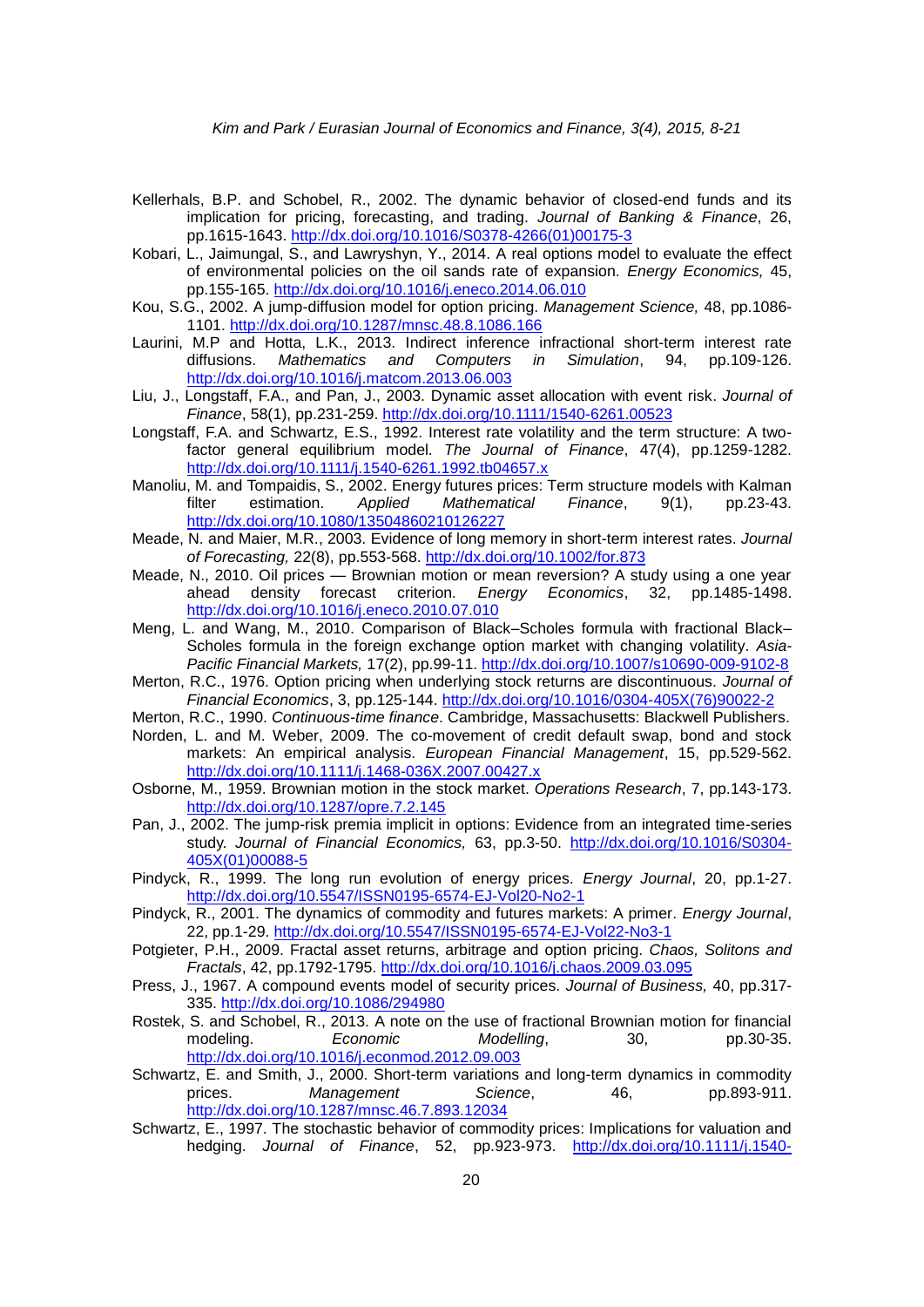- Kellerhals, B.P. and Schobel, R., 2002. The dynamic behavior of closed-end funds and its implication for pricing, forecasting, and trading. *Journal of Banking & Finance*, 26, pp.1615-1643. [http://dx.doi.org/10.1016/S0378-4266\(01\)00175-3](http://dx.doi.org/10.1016/S0378-4266(01)00175-3)
- Kobari, L., Jaimungal, S., and Lawryshyn, Y., 2014. A real options model to evaluate the effect of environmental policies on the oil sands rate of expansion. *Energy Economics,* 45, pp.155-165. <http://dx.doi.org/10.1016/j.eneco.2014.06.010>
- Kou, S.G., 2002. A jump-diffusion model for option pricing. *Management Science,* 48, pp.1086- 1101. <http://dx.doi.org/10.1287/mnsc.48.8.1086.166>
- Laurini, M.P and Hotta, L.K., 2013. Indirect inference infractional short-term interest rate diffusions. *Mathematics and Computers in Simulation*, 94, pp.109-126. <http://dx.doi.org/10.1016/j.matcom.2013.06.003>
- Liu, J., Longstaff, F.A., and Pan, J., 2003. [Dynamic asset allocation with event risk.](https://ideas.repec.org/a/bla/jfinan/v58y2003i1p231-259.html) *[Journal of](https://ideas.repec.org/s/bla/jfinan.html)  [Finance](https://ideas.repec.org/s/bla/jfinan.html)*, 58(1), pp.231-259. <http://dx.doi.org/10.1111/1540-6261.00523>
- Longstaff, F.A. and Schwartz, E.S., 1992. Interest rate volatility and the term structure: A twofactor general equilibrium model. *The Journal of Finance*, 47(4), pp.1259-1282. <http://dx.doi.org/10.1111/j.1540-6261.1992.tb04657.x>
- Manoliu, M. and Tompaidis, S., 2002. Energy [futures prices: Term structure models with Kalman](http://www.tandfonline.com/doi/abs/10.1080/13504860210126227)  [filter estimation.](http://www.tandfonline.com/doi/abs/10.1080/13504860210126227) *Applied Mathematical Finance*, 9(1), pp.23-43. <http://dx.doi.org/10.1080/13504860210126227>
- Meade, N. and Maier, M.R., 2003. Evidence of long memory in short-term interest rates. *Journal of Forecasting,* 22(8), pp.553-568. <http://dx.doi.org/10.1002/for.873>
- Meade, N., 2010. Oil prices Brownian motion or mean reversion? A study using a one year ahead density forecast criterion*. Energy Economics*, 32, pp.1485-1498. <http://dx.doi.org/10.1016/j.eneco.2010.07.010>
- Meng, L. and Wang, M., 2010. Comparison of Black–Scholes formula with fractional Black– Scholes formula in the foreign exchange option market with changing volatility. *Asia-Pacific Financial Markets,* 17(2), pp.99-11. <http://dx.doi.org/10.1007/s10690-009-9102-8>
- Merton, R.C., 1976. Option pricing when underlying stock returns are discontinuous. *Journal of Financial Economics*, 3, pp.125-144. [http://dx.doi.org/10.1016/0304-405X\(76\)90022-2](http://dx.doi.org/10.1016/0304-405X(76)90022-2)
- Merton, R.C., 1990. *Continuous-time finance*. Cambridge, Massachusetts: Blackwell Publishers.
- Norden, L. and M. Weber, 2009. The co-movement of credit default swap, bond and stock markets: An empirical analysis. *European Financial Management*, 15, pp.529-562. <http://dx.doi.org/10.1111/j.1468-036X.2007.00427.x>
- Osborne, M., 1959. Brownian motion in the stock market. *Operations Research*, 7, pp.143-173. <http://dx.doi.org/10.1287/opre.7.2.145>
- Pan, J., 2002. The jump-risk premia implicit in options: Evidence from an integrated time-series study. *Journal of Financial Economics,* 63, pp.3-50. [http://dx.doi.org/10.1016/S0304-](http://dx.doi.org/10.1016/S0304-405X(01)00088-5) [405X\(01\)00088-5](http://dx.doi.org/10.1016/S0304-405X(01)00088-5)
- Pindyck, R., 1999. The long run evolution of energy prices. *Energy Journal*, 20, pp.1-27. <http://dx.doi.org/10.5547/ISSN0195-6574-EJ-Vol20-No2-1>
- Pindyck, R., 2001. The dynamics of commodity and futures markets: A primer*. Energy Journal*, 22, pp.1-29. <http://dx.doi.org/10.5547/ISSN0195-6574-EJ-Vol22-No3-1>
- Potgieter, P.H., 2009. Fractal asset returns, arbitrage and option pricing. *Chaos, Solitons and Fractals*, 42, pp.1792-1795. <http://dx.doi.org/10.1016/j.chaos.2009.03.095>
- Press, J., 1967. A compound events model of security prices. *Journal of Business,* 40, pp.317- 335.<http://dx.doi.org/10.1086/294980>
- Rostek, S. and Schobel, R., 2013. A note on the use of fractional Brownian motion for financial modeling. *Economic Modelling*, 30, pp.30-35. <http://dx.doi.org/10.1016/j.econmod.2012.09.003>
- Schwartz, E. and Smith, J., 2000. Short-term variations and long-term dynamics in commodity prices. *Management Science*, 46, pp.893-911. <http://dx.doi.org/10.1287/mnsc.46.7.893.12034>
- Schwartz, E., 1997. The stochastic behavior of commodity prices: Implications for valuation and hedging. *Journal of Finance*, 52, pp.923-973. [http://dx.doi.org/10.1111/j.1540-](http://dx.doi.org/10.1111/j.1540-6261.1997.tb02721.x)